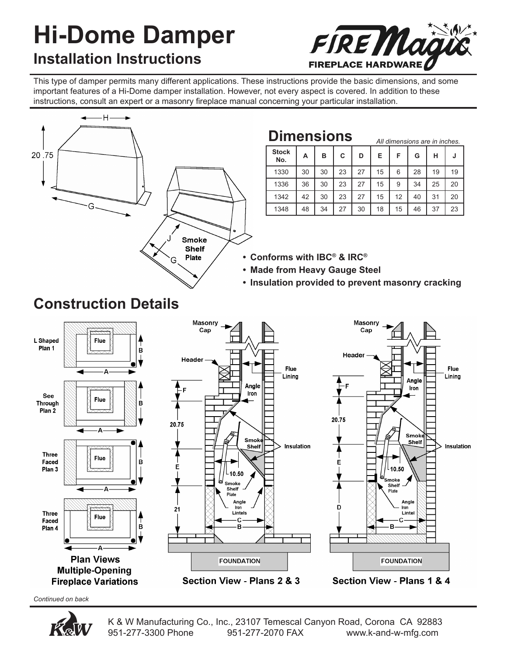# **Hi-Dome Damper Installation Instructions**



*All dimensions are in inches.*

This type of damper permits many different applications. These instructions provide the basic dimensions, and some important features of a Hi-Dome damper installation. However, not every aspect is covered. In addition to these instructions, consult an expert or a masonry fireplace manual concerning your particular installation.



### **Dimensions**

|                     |    |    |    |    | AII UIIIIEIISIUIIS dIE III IIIUIES. |    |    |    |    |
|---------------------|----|----|----|----|-------------------------------------|----|----|----|----|
| <b>Stock</b><br>No. | А  | в  | С  | D  | Е                                   | F  | G  | н  | u  |
| 1330                | 30 | 30 | 23 | 27 | 15                                  | 6  | 28 | 19 | 19 |
| 1336                | 36 | 30 | 23 | 27 | 15                                  | 9  | 34 | 25 | 20 |
| 1342                | 42 | 30 | 23 | 27 | 15                                  | 12 | 40 | 31 | 20 |
| 1348                | 48 | 34 | 27 | 30 | 18                                  | 15 | 46 | 37 | 23 |

- **Conforms with IBC® & IRC® •**
- **Made from Heavy Gauge Steel •**
- **Insulation provided to prevent masonry cracking •**



Section View - Plans 2 & 3

Section View - Plans 1 & 4

*Continued on back*



# **Construction Details**